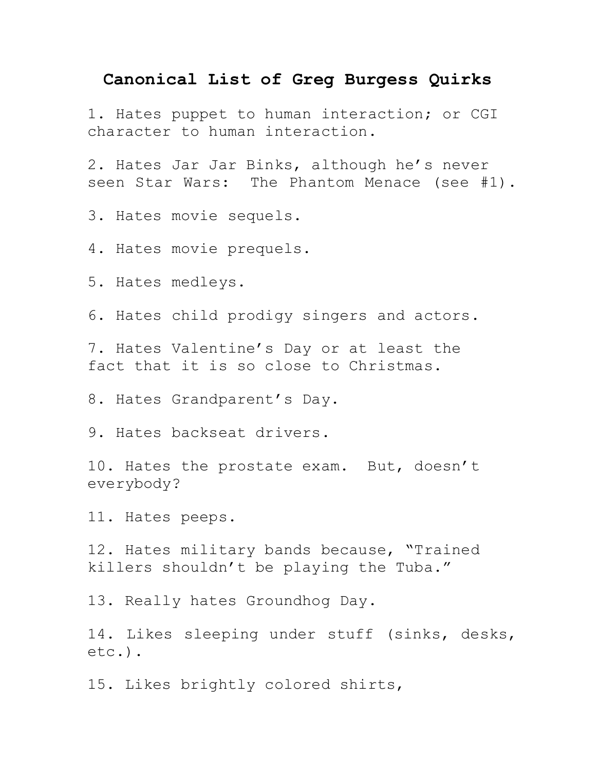## **Canonical List of Greg Burgess Quirks**

1. Hates puppet to human interaction; or CGI character to human interaction.

2. Hates Jar Jar Binks, although he's never seen Star Wars: The Phantom Menace (see #1).

3. Hates movie sequels.

4. Hates movie prequels.

5. Hates medleys.

6. Hates child prodigy singers and actors.

7. Hates Valentine's Day or at least the fact that it is so close to Christmas.

8. Hates Grandparent's Day.

9. Hates backseat drivers.

10. Hates the prostate exam. But, doesn't everybody?

11. Hates peeps.

12. Hates military bands because, "Trained killers shouldn't be playing the Tuba."

13. Really hates Groundhog Day.

14. Likes sleeping under stuff (sinks, desks, etc.).

15. Likes brightly colored shirts,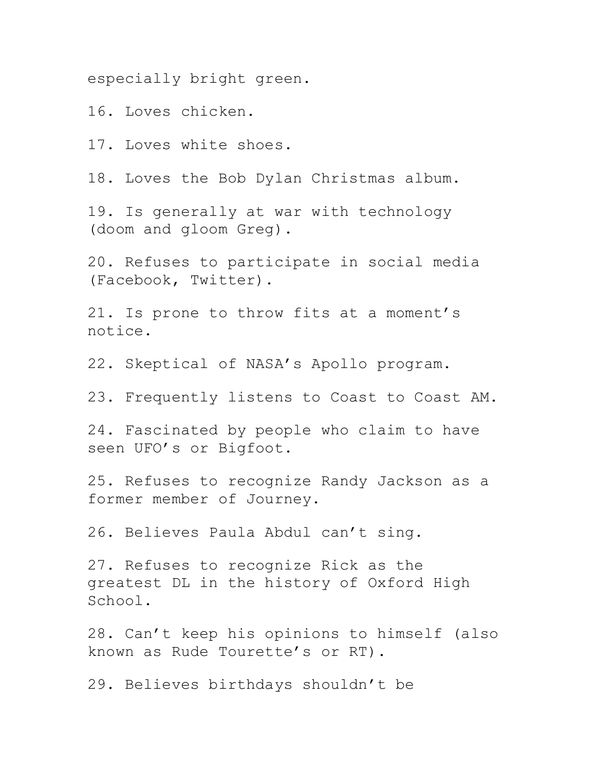especially bright green.

16. Loves chicken.

17. Loves white shoes.

18. Loves the Bob Dylan Christmas album.

19. Is generally at war with technology (doom and gloom Greg).

20. Refuses to participate in social media (Facebook, Twitter).

21. Is prone to throw fits at a moment's notice.

22. Skeptical of NASA's Apollo program.

23. Frequently listens to Coast to Coast AM.

24. Fascinated by people who claim to have seen UFO's or Bigfoot.

25. Refuses to recognize Randy Jackson as a former member of Journey.

26. Believes Paula Abdul can't sing.

27. Refuses to recognize Rick as the greatest DL in the history of Oxford High School.

28. Can't keep his opinions to himself (also known as Rude Tourette's or RT).

29. Believes birthdays shouldn't be